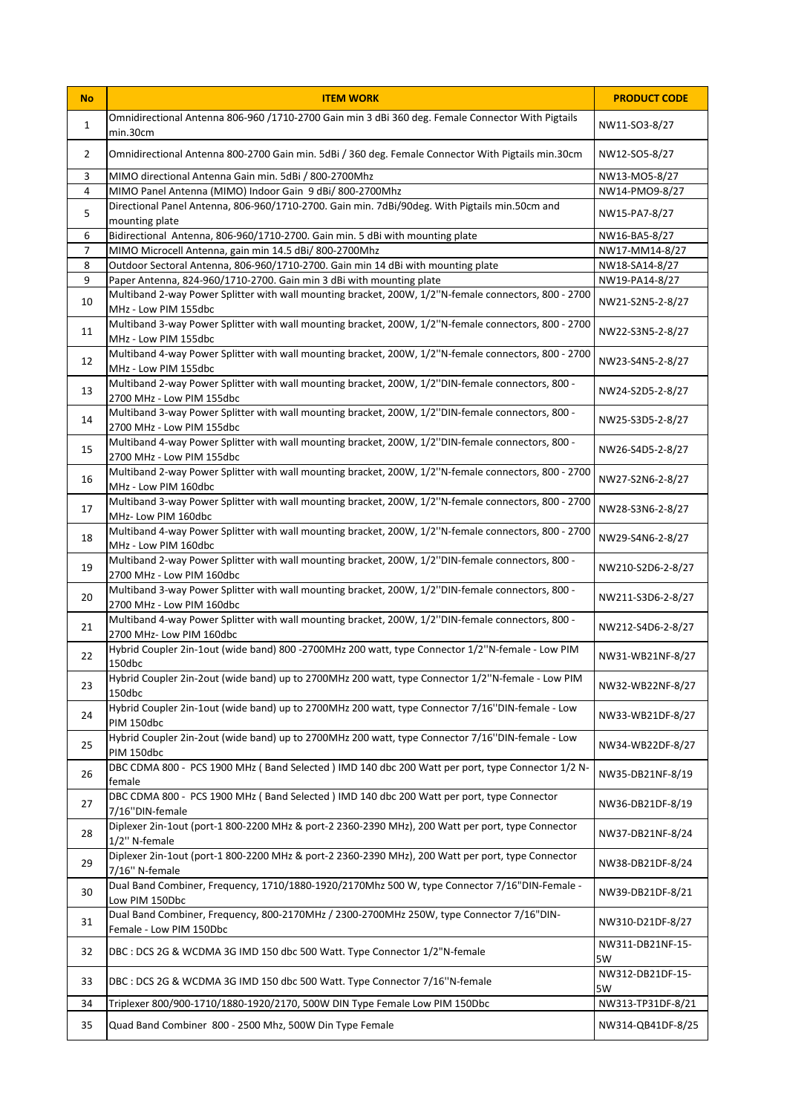| <b>No</b>      | <b>ITEM WORK</b>                                                                                                                                                             | <b>PRODUCT CODE</b>                |
|----------------|------------------------------------------------------------------------------------------------------------------------------------------------------------------------------|------------------------------------|
| $\mathbf{1}$   | Omnidirectional Antenna 806-960 /1710-2700 Gain min 3 dBi 360 deg. Female Connector With Pigtails<br>min.30cm                                                                | NW11-SO3-8/27                      |
| 2              | Omnidirectional Antenna 800-2700 Gain min. 5dBi / 360 deg. Female Connector With Pigtails min.30cm                                                                           | NW12-SO5-8/27                      |
| 3              | MIMO directional Antenna Gain min. 5dBi / 800-2700Mhz                                                                                                                        | NW13-M05-8/27                      |
| 4              | MIMO Panel Antenna (MIMO) Indoor Gain 9 dBi/ 800-2700Mhz                                                                                                                     | NW14-PM09-8/27                     |
| 5              | Directional Panel Antenna, 806-960/1710-2700. Gain min. 7dBi/90deg. With Pigtails min.50cm and<br>mounting plate                                                             | NW15-PA7-8/27                      |
| 6              | Bidirectional Antenna, 806-960/1710-2700. Gain min. 5 dBi with mounting plate                                                                                                | NW16-BA5-8/27                      |
| $\overline{7}$ | MIMO Microcell Antenna, gain min 14.5 dBi/ 800-2700Mhz                                                                                                                       | NW17-MM14-8/27                     |
| 8              | Outdoor Sectoral Antenna, 806-960/1710-2700. Gain min 14 dBi with mounting plate                                                                                             | NW18-SA14-8/27                     |
| 9<br>10        | Paper Antenna, 824-960/1710-2700. Gain min 3 dBi with mounting plate<br>Multiband 2-way Power Splitter with wall mounting bracket, 200W, 1/2"N-female connectors, 800 - 2700 | NW19-PA14-8/27<br>NW21-S2N5-2-8/27 |
| 11             | MHz - Low PIM 155dbc<br>Multiband 3-way Power Splitter with wall mounting bracket, 200W, 1/2"N-female connectors, 800 - 2700<br>MHz - Low PIM 155dbc                         | NW22-S3N5-2-8/27                   |
| 12             | Multiband 4-way Power Splitter with wall mounting bracket, 200W, 1/2"N-female connectors, 800 - 2700<br>MHz - Low PIM 155dbc                                                 | NW23-S4N5-2-8/27                   |
| 13             | Multiband 2-way Power Splitter with wall mounting bracket, 200W, 1/2"DIN-female connectors, 800 -<br>2700 MHz - Low PIM 155dbc                                               | NW24-S2D5-2-8/27                   |
| 14             | Multiband 3-way Power Splitter with wall mounting bracket, 200W, 1/2"DIN-female connectors, 800 -<br>2700 MHz - Low PIM 155dbc                                               | NW25-S3D5-2-8/27                   |
| 15             | Multiband 4-way Power Splitter with wall mounting bracket, 200W, 1/2"DIN-female connectors, 800 -<br>2700 MHz - Low PIM 155dbc                                               | NW26-S4D5-2-8/27                   |
| 16             | Multiband 2-way Power Splitter with wall mounting bracket, 200W, 1/2"N-female connectors, 800 - 2700<br>MHz - Low PIM 160dbc                                                 | NW27-S2N6-2-8/27                   |
| 17             | Multiband 3-way Power Splitter with wall mounting bracket, 200W, 1/2"N-female connectors, 800 - 2700<br>MHz- Low PIM 160dbc                                                  | NW28-S3N6-2-8/27                   |
| 18             | Multiband 4-way Power Splitter with wall mounting bracket, 200W, 1/2"N-female connectors, 800 - 2700<br>MHz - Low PIM 160dbc                                                 | NW29-S4N6-2-8/27                   |
| 19             | Multiband 2-way Power Splitter with wall mounting bracket, 200W, 1/2"DIN-female connectors, 800 -<br>2700 MHz - Low PIM 160dbc                                               | NW210-S2D6-2-8/27                  |
| 20             | Multiband 3-way Power Splitter with wall mounting bracket, 200W, 1/2"DIN-female connectors, 800 -<br>2700 MHz - Low PIM 160dbc                                               | NW211-S3D6-2-8/27                  |
| 21             | Multiband 4-way Power Splitter with wall mounting bracket, 200W, 1/2"DIN-female connectors, 800 -<br>2700 MHz- Low PIM 160dbc                                                | NW212-S4D6-2-8/27                  |
| 22             | Hybrid Coupler 2in-1out (wide band) 800 -2700MHz 200 watt, type Connector 1/2"N-female - Low PIM<br>150dbc                                                                   | NW31-WB21NF-8/27                   |
| 23             | Hybrid Coupler 2in-2out (wide band) up to 2700MHz 200 watt, type Connector 1/2"N-female - Low PIM<br>$150$ dbc                                                               | NW32-WB22NF-8/27                   |
| 24             | Hybrid Coupler 2in-1out (wide band) up to 2700MHz 200 watt, type Connector 7/16"DIN-female - Low<br>PIM 150dbc                                                               | NW33-WB21DF-8/27                   |
| 25             | Hybrid Coupler 2in-2out (wide band) up to 2700MHz 200 watt, type Connector 7/16"DIN-female - Low<br>PIM 150dbc                                                               | NW34-WB22DF-8/27                   |
| 26             | DBC CDMA 800 - PCS 1900 MHz (Band Selected) IMD 140 dbc 200 Watt per port, type Connector 1/2 N-<br>female                                                                   | NW35-DB21NF-8/19                   |
| 27             | DBC CDMA 800 - PCS 1900 MHz (Band Selected) IMD 140 dbc 200 Watt per port, type Connector<br>7/16"DIN-female                                                                 | NW36-DB21DF-8/19                   |
| 28             | Diplexer 2in-1out (port-1 800-2200 MHz & port-2 2360-2390 MHz), 200 Watt per port, type Connector<br>1/2" N-female                                                           | NW37-DB21NF-8/24                   |
| 29             | Diplexer 2in-1out (port-1 800-2200 MHz & port-2 2360-2390 MHz), 200 Watt per port, type Connector<br>7/16" N-female                                                          | NW38-DB21DF-8/24                   |
| 30             | Dual Band Combiner, Frequency, 1710/1880-1920/2170Mhz 500 W, type Connector 7/16"DIN-Female -<br>Low PIM 150Dbc                                                              | NW39-DB21DF-8/21                   |
| 31             | Dual Band Combiner, Frequency, 800-2170MHz / 2300-2700MHz 250W, type Connector 7/16"DIN-<br>Female - Low PIM 150Dbc                                                          | NW310-D21DF-8/27                   |
| 32             | DBC : DCS 2G & WCDMA 3G IMD 150 dbc 500 Watt. Type Connector 1/2"N-female                                                                                                    | NW311-DB21NF-15-<br>5W             |
| 33             | DBC: DCS 2G & WCDMA 3G IMD 150 dbc 500 Watt. Type Connector 7/16"N-female                                                                                                    | NW312-DB21DF-15-<br>5W             |
| 34             | Triplexer 800/900-1710/1880-1920/2170, 500W DIN Type Female Low PIM 150Dbc                                                                                                   | NW313-TP31DF-8/21                  |
| 35             | Quad Band Combiner 800 - 2500 Mhz, 500W Din Type Female                                                                                                                      | NW314-QB41DF-8/25                  |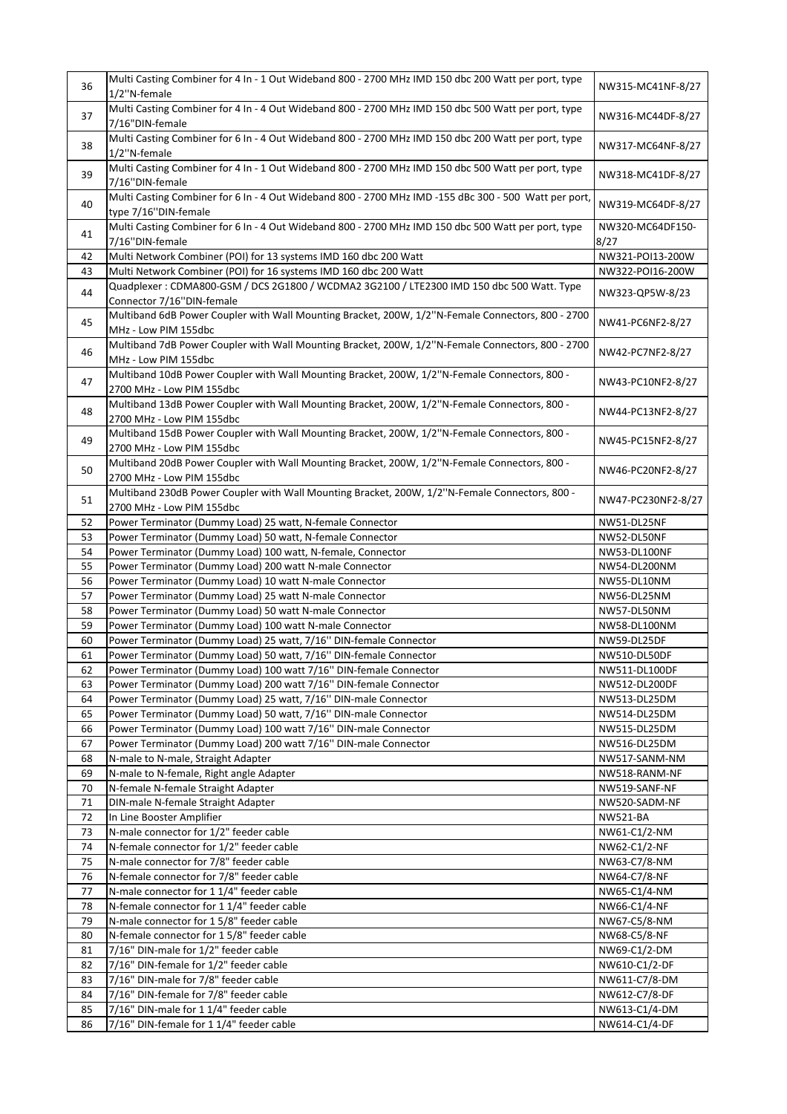| 36       | Multi Casting Combiner for 4 In - 1 Out Wideband 800 - 2700 MHz IMD 150 dbc 200 Watt per port, type<br>1/2"N-female           | NW315-MC41NF-8/27            |
|----------|-------------------------------------------------------------------------------------------------------------------------------|------------------------------|
| 37       | Multi Casting Combiner for 4 In - 4 Out Wideband 800 - 2700 MHz IMD 150 dbc 500 Watt per port, type<br>7/16"DIN-female        | NW316-MC44DF-8/27            |
| 38       | Multi Casting Combiner for 6 In - 4 Out Wideband 800 - 2700 MHz IMD 150 dbc 200 Watt per port, type<br>1/2"N-female           | NW317-MC64NF-8/27            |
| 39       | Multi Casting Combiner for 4 In - 1 Out Wideband 800 - 2700 MHz IMD 150 dbc 500 Watt per port, type<br>7/16"DIN-female        | NW318-MC41DF-8/27            |
| 40       | Multi Casting Combiner for 6 In - 4 Out Wideband 800 - 2700 MHz IMD -155 dBc 300 - 500 Watt per port,<br>type 7/16"DIN-female | NW319-MC64DF-8/27            |
| 41       | Multi Casting Combiner for 6 In - 4 Out Wideband 800 - 2700 MHz IMD 150 dbc 500 Watt per port, type<br>7/16"DIN-female        | NW320-MC64DF150-<br>8/27     |
| 42       | Multi Network Combiner (POI) for 13 systems IMD 160 dbc 200 Watt                                                              | NW321-POI13-200W             |
| 43       | Multi Network Combiner (POI) for 16 systems IMD 160 dbc 200 Watt                                                              | NW322-POI16-200W             |
| 44       | Quadplexer: CDMA800-GSM / DCS 2G1800 / WCDMA2 3G2100 / LTE2300 IMD 150 dbc 500 Watt. Type<br>Connector 7/16"DIN-female        | NW323-QP5W-8/23              |
| 45       | Multiband 6dB Power Coupler with Wall Mounting Bracket, 200W, 1/2"N-Female Connectors, 800 - 2700<br>MHz - Low PIM 155dbc     | NW41-PC6NF2-8/27             |
| 46       | Multiband 7dB Power Coupler with Wall Mounting Bracket, 200W, 1/2"N-Female Connectors, 800 - 2700<br>MHz - Low PIM 155dbc     | NW42-PC7NF2-8/27             |
| 47       | Multiband 10dB Power Coupler with Wall Mounting Bracket, 200W, 1/2"N-Female Connectors, 800 -<br>2700 MHz - Low PIM 155dbc    | NW43-PC10NF2-8/27            |
| 48       | Multiband 13dB Power Coupler with Wall Mounting Bracket, 200W, 1/2"N-Female Connectors, 800 -<br>2700 MHz - Low PIM 155dbc    | NW44-PC13NF2-8/27            |
| 49       | Multiband 15dB Power Coupler with Wall Mounting Bracket, 200W, 1/2"N-Female Connectors, 800 -<br>2700 MHz - Low PIM 155dbc    | NW45-PC15NF2-8/27            |
| 50       | Multiband 20dB Power Coupler with Wall Mounting Bracket, 200W, 1/2"N-Female Connectors, 800 -<br>2700 MHz - Low PIM 155dbc    | NW46-PC20NF2-8/27            |
| 51       | Multiband 230dB Power Coupler with Wall Mounting Bracket, 200W, 1/2"N-Female Connectors, 800 -<br>2700 MHz - Low PIM 155dbc   | NW47-PC230NF2-8/27           |
| 52       | Power Terminator (Dummy Load) 25 watt, N-female Connector                                                                     | NW51-DL25NF                  |
| 53       | Power Terminator (Dummy Load) 50 watt, N-female Connector                                                                     | NW52-DL50NF                  |
| 54       | Power Terminator (Dummy Load) 100 watt, N-female, Connector                                                                   | NW53-DL100NF                 |
| 55       | Power Terminator (Dummy Load) 200 watt N-male Connector                                                                       | NW54-DL200NM                 |
| 56       | Power Terminator (Dummy Load) 10 watt N-male Connector                                                                        | NW55-DL10NM                  |
| 57<br>58 | Power Terminator (Dummy Load) 25 watt N-male Connector<br>Power Terminator (Dummy Load) 50 watt N-male Connector              | NW56-DL25NM<br>NW57-DL50NM   |
| 59       | Power Terminator (Dummy Load) 100 watt N-male Connector                                                                       | NW58-DL100NM                 |
| 60       | Power Terminator (Dummy Load) 25 watt, 7/16" DIN-female Connector                                                             | NW59-DL25DF                  |
| 61       | Power Terminator (Dummy Load) 50 watt, 7/16" DIN-female Connector                                                             | NW510-DL50DF                 |
| 62       | Power Terminator (Dummy Load) 100 watt 7/16" DIN-female Connector                                                             | NW511-DL100DF                |
| 63       | Power Terminator (Dummy Load) 200 watt 7/16" DIN-female Connector                                                             | NW512-DL200DF                |
| 64       | Power Terminator (Dummy Load) 25 watt, 7/16" DIN-male Connector                                                               | NW513-DL25DM                 |
| 65       | Power Terminator (Dummy Load) 50 watt, 7/16" DIN-male Connector                                                               | NW514-DL25DM                 |
| 66       | Power Terminator (Dummy Load) 100 watt 7/16" DIN-male Connector                                                               | NW515-DL25DM                 |
| 67       | Power Terminator (Dummy Load) 200 watt 7/16" DIN-male Connector                                                               | NW516-DL25DM                 |
| 68       | N-male to N-male, Straight Adapter                                                                                            | NW517-SANM-NM                |
| 69       | N-male to N-female, Right angle Adapter                                                                                       | NW518-RANM-NF                |
| 70       | N-female N-female Straight Adapter                                                                                            | NW519-SANF-NF                |
| 71       | DIN-male N-female Straight Adapter                                                                                            | NW520-SADM-NF                |
| 72       | In Line Booster Amplifier                                                                                                     | <b>NW521-BA</b>              |
| 73       | N-male connector for 1/2" feeder cable                                                                                        | NW61-C1/2-NM                 |
| 74       | N-female connector for 1/2" feeder cable                                                                                      | NW62-C1/2-NF                 |
| 75       | N-male connector for 7/8" feeder cable                                                                                        | NW63-C7/8-NM                 |
| 76       | N-female connector for 7/8" feeder cable<br>N-male connector for 1 1/4" feeder cable                                          | NW64-C7/8-NF                 |
| 77<br>78 | N-female connector for 1 1/4" feeder cable                                                                                    | NW65-C1/4-NM<br>NW66-C1/4-NF |
| 79       | N-male connector for 15/8" feeder cable                                                                                       | NW67-C5/8-NM                 |
| 80       | N-female connector for 15/8" feeder cable                                                                                     | NW68-C5/8-NF                 |
| 81       | 7/16" DIN-male for 1/2" feeder cable                                                                                          | NW69-C1/2-DM                 |
| 82       | 7/16" DIN-female for 1/2" feeder cable                                                                                        | NW610-C1/2-DF                |
| 83       | 7/16" DIN-male for 7/8" feeder cable                                                                                          | NW611-C7/8-DM                |
| 84       | 7/16" DIN-female for 7/8" feeder cable                                                                                        | NW612-C7/8-DF                |
| 85       | 7/16" DIN-male for 1 1/4" feeder cable                                                                                        | NW613-C1/4-DM                |
| 86       | 7/16" DIN-female for 1 1/4" feeder cable                                                                                      | NW614-C1/4-DF                |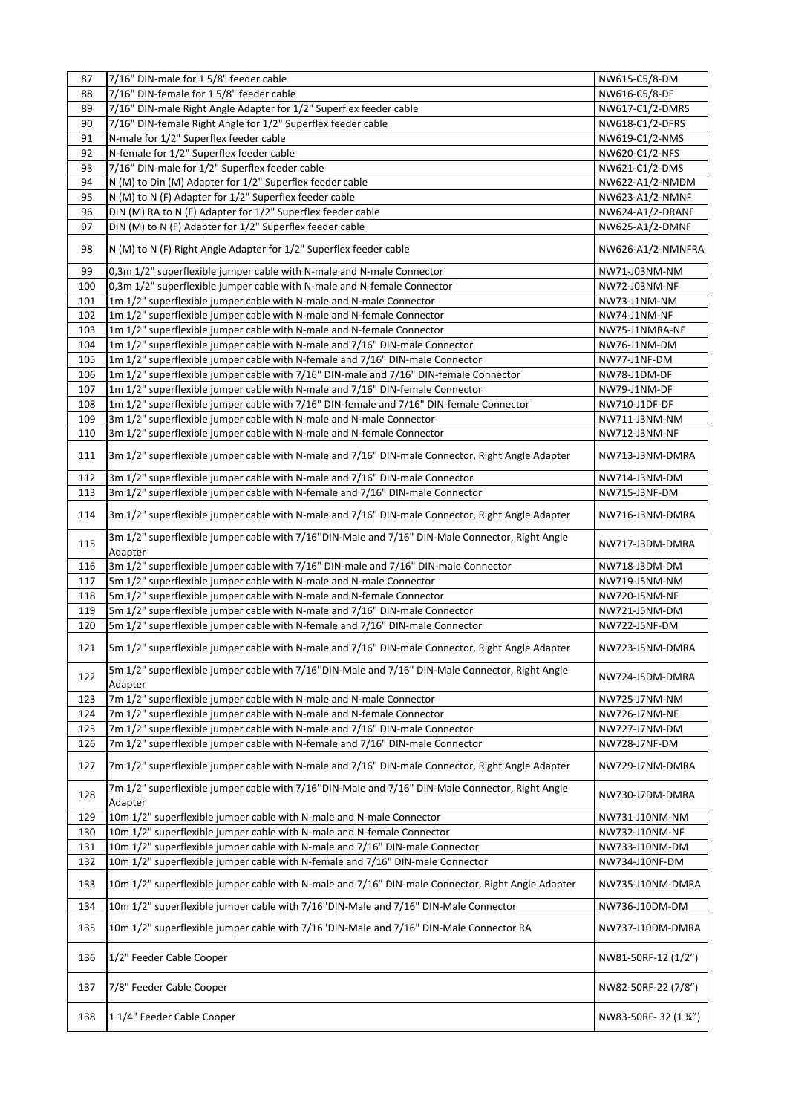| 87  | 7/16" DIN-male for 15/8" feeder cable                                                                      | NW615-C5/8-DM         |
|-----|------------------------------------------------------------------------------------------------------------|-----------------------|
| 88  | 7/16" DIN-female for 15/8" feeder cable                                                                    | NW616-C5/8-DF         |
| 89  | 7/16" DIN-male Right Angle Adapter for 1/2" Superflex feeder cable                                         | NW617-C1/2-DMRS       |
| 90  | 7/16" DIN-female Right Angle for 1/2" Superflex feeder cable                                               | NW618-C1/2-DFRS       |
| 91  | N-male for 1/2" Superflex feeder cable                                                                     | NW619-C1/2-NMS        |
| 92  | N-female for 1/2" Superflex feeder cable                                                                   | NW620-C1/2-NFS        |
| 93  | 7/16" DIN-male for 1/2" Superflex feeder cable                                                             | NW621-C1/2-DMS        |
| 94  | N (M) to Din (M) Adapter for 1/2" Superflex feeder cable                                                   | NW622-A1/2-NMDM       |
| 95  | N (M) to N (F) Adapter for 1/2" Superflex feeder cable                                                     | NW623-A1/2-NMNF       |
| 96  | DIN (M) RA to N (F) Adapter for 1/2" Superflex feeder cable                                                | NW624-A1/2-DRANF      |
| 97  | DIN (M) to N (F) Adapter for 1/2" Superflex feeder cable                                                   | NW625-A1/2-DMNF       |
| 98  | N (M) to N (F) Right Angle Adapter for 1/2" Superflex feeder cable                                         | NW626-A1/2-NMNFRA     |
| 99  | 0,3m 1/2" superflexible jumper cable with N-male and N-male Connector                                      | NW71-J03NM-NM         |
| 100 | 0,3m 1/2" superflexible jumper cable with N-male and N-female Connector                                    | NW72-J03NM-NF         |
| 101 | 1m 1/2" superflexible jumper cable with N-male and N-male Connector                                        | NW73-J1NM-NM          |
| 102 | 1m 1/2" superflexible jumper cable with N-male and N-female Connector                                      | NW74-J1NM-NF          |
| 103 | 1m 1/2" superflexible jumper cable with N-male and N-female Connector                                      | NW75-J1NMRA-NF        |
| 104 | 1m 1/2" superflexible jumper cable with N-male and 7/16" DIN-male Connector                                | NW76-J1NM-DM          |
| 105 | 1m 1/2" superflexible jumper cable with N-female and 7/16" DIN-male Connector                              | NW77-J1NF-DM          |
| 106 | 1m 1/2" superflexible jumper cable with 7/16" DIN-male and 7/16" DIN-female Connector                      | NW78-J1DM-DF          |
| 107 | 1m 1/2" superflexible jumper cable with N-male and 7/16" DIN-female Connector                              | NW79-J1NM-DF          |
| 108 | 1m 1/2" superflexible jumper cable with 7/16" DIN-female and 7/16" DIN-female Connector                    | NW710-J1DF-DF         |
| 109 | 3m 1/2" superflexible jumper cable with N-male and N-male Connector                                        | NW711-J3NM-NM         |
| 110 | 3m 1/2" superflexible jumper cable with N-male and N-female Connector                                      | NW712-J3NM-NF         |
| 111 | 3m 1/2" superflexible jumper cable with N-male and 7/16" DIN-male Connector, Right Angle Adapter           | NW713-J3NM-DMRA       |
| 112 | 3m 1/2" superflexible jumper cable with N-male and 7/16" DIN-male Connector                                | NW714-J3NM-DM         |
| 113 | 3m 1/2" superflexible jumper cable with N-female and 7/16" DIN-male Connector                              | NW715-J3NF-DM         |
| 114 | 3m 1/2" superflexible jumper cable with N-male and 7/16" DIN-male Connector, Right Angle Adapter           | NW716-J3NM-DMRA       |
| 115 | 3m 1/2" superflexible jumper cable with 7/16"DIN-Male and 7/16" DIN-Male Connector, Right Angle<br>Adapter | NW717-J3DM-DMRA       |
| 116 | 3m 1/2" superflexible jumper cable with 7/16" DIN-male and 7/16" DIN-male Connector                        | NW718-J3DM-DM         |
| 117 | 5m 1/2" superflexible jumper cable with N-male and N-male Connector                                        | NW719-J5NM-NM         |
| 118 | 5m 1/2" superflexible jumper cable with N-male and N-female Connector                                      | NW720-J5NM-NF         |
| 119 | 5m 1/2" superflexible jumper cable with N-male and 7/16" DIN-male Connector                                | NW721-J5NM-DM         |
| 120 | 5m 1/2" superflexible jumper cable with N-female and 7/16" DIN-male Connector                              | NW722-J5NF-DM         |
| 121 | 5m 1/2" superflexible jumper cable with N-male and 7/16" DIN-male Connector, Right Angle Adapter           | NW723-J5NM-DMRA       |
| 122 | 5m 1/2" superflexible jumper cable with 7/16"DIN-Male and 7/16" DIN-Male Connector, Right Angle<br>Adapter | NW724-J5DM-DMRA       |
| 123 | 7m 1/2" superflexible jumper cable with N-male and N-male Connector                                        | NW725-J7NM-NM         |
| 124 | 7m 1/2" superflexible jumper cable with N-male and N-female Connector                                      | NW726-J7NM-NF         |
| 125 | 7m 1/2" superflexible jumper cable with N-male and 7/16" DIN-male Connector                                | NW727-J7NM-DM         |
| 126 | 7m 1/2" superflexible jumper cable with N-female and 7/16" DIN-male Connector                              | NW728-J7NF-DM         |
| 127 | 7m 1/2" superflexible jumper cable with N-male and 7/16" DIN-male Connector, Right Angle Adapter           | NW729-J7NM-DMRA       |
| 128 | 7m 1/2" superflexible jumper cable with 7/16"DIN-Male and 7/16" DIN-Male Connector, Right Angle<br>Adapter | NW730-J7DM-DMRA       |
| 129 | 10m 1/2" superflexible jumper cable with N-male and N-male Connector                                       | NW731-J10NM-NM        |
| 130 | 10m 1/2" superflexible jumper cable with N-male and N-female Connector                                     | NW732-J10NM-NF        |
| 131 | 10m 1/2" superflexible jumper cable with N-male and 7/16" DIN-male Connector                               | NW733-J10NM-DM        |
| 132 | 10m 1/2" superflexible jumper cable with N-female and 7/16" DIN-male Connector                             | NW734-J10NF-DM        |
| 133 | 10m 1/2" superflexible jumper cable with N-male and 7/16" DIN-male Connector, Right Angle Adapter          | NW735-J10NM-DMRA      |
| 134 | 10m 1/2" superflexible jumper cable with 7/16"DIN-Male and 7/16" DIN-Male Connector                        | NW736-J10DM-DM        |
| 135 | 10m 1/2" superflexible jumper cable with 7/16"DIN-Male and 7/16" DIN-Male Connector RA                     | NW737-J10DM-DMRA      |
| 136 | 1/2" Feeder Cable Cooper                                                                                   | NW81-50RF-12 (1/2")   |
| 137 | 7/8" Feeder Cable Cooper                                                                                   | NW82-50RF-22 (7/8")   |
| 138 | 11/4" Feeder Cable Cooper                                                                                  | NW83-50RF-32 (1 1/4") |